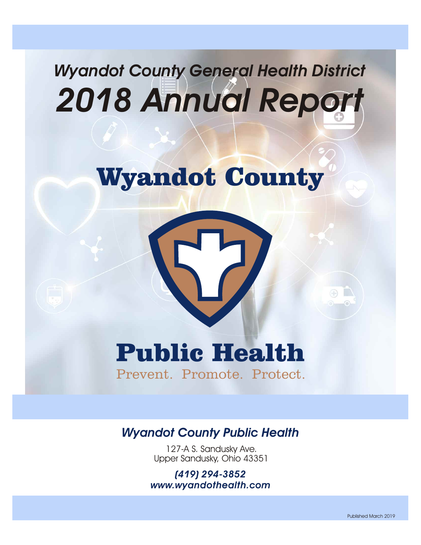# *Wyandot County General Health District 2018 Annual Report*

# Wyandot County

# Public Health

Prevent. Promote. Protect.

### *Wyandot County Public Health*

127-A S. Sandusky Ave. Upper Sandusky, Ohio 43351

*(419) 294-3852 www.wyandothealth.com*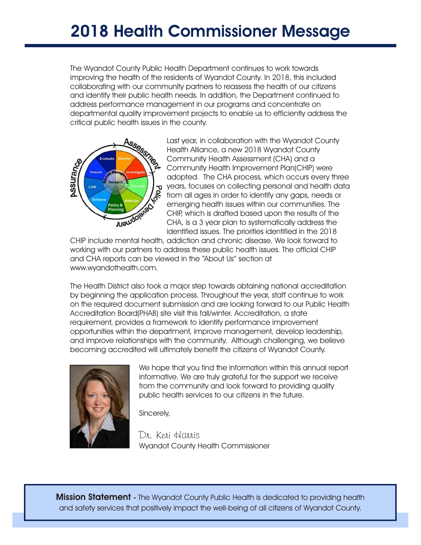# **2018 Health Commissioner Message**

The Wyandot County Public Health Department continues to work towards improving the health of the residents of Wyandot County. In 2018, this included collaborating with our community partners to reassess the health of our citizens and identify their public health needs. In addition, the Department continued to address performance management in our programs and concentrate on departmental quality improvement projects to enable us to efficiently address the critical public health issues in the county.



Last year, in collaboration with the Wyandot County Health Alliance, a new 2018 Wyandot County Community Health Assessment (CHA) and a Community Health Improvement Plan(CHIP) were adopted. The CHA process, which occurs every three years, focuses on collecting personal and health data from all ages in order to identify any gaps, needs or emerging health issues within our communities. The CHIP, which is drafted based upon the results of the CHA, is a 3 year plan to systematically address the identified issues. The priorities identified in the 2018

CHIP include mental health, addiction and chronic disease. We look forward to working with our partners to address these public health issues. The official CHIP and CHA reports can be viewed in the "About Us" section at www.wyandothealth.com.

The Health District also took a major step towards obtaining national accreditation by beginning the application process. Throughout the year, staff continue to work on the required document submission and are looking forward to our Public Health Accreditation Board(PHAB) site visit this fall/winter. Accreditation, a state requirement, provides a framework to identify performance improvement opportunities within the department, improve management, develop leadership, and improve relationships with the community. Although challenging, we believe becoming accredited will ultimately benefit the citizens of Wyandot County.



We hope that you find the information within this annual report informative. We are truly grateful for the support we receive from the community and look forward to providing quality public health services to our citizens in the future.

Sincerely,

*Dr. Keri Harris* Wyandot County Health Commissioner

**Mission Statement -** The Wyandot County Public Health is dedicated to providing health and safety services that positively impact the well-being of all citizens of Wyandot County.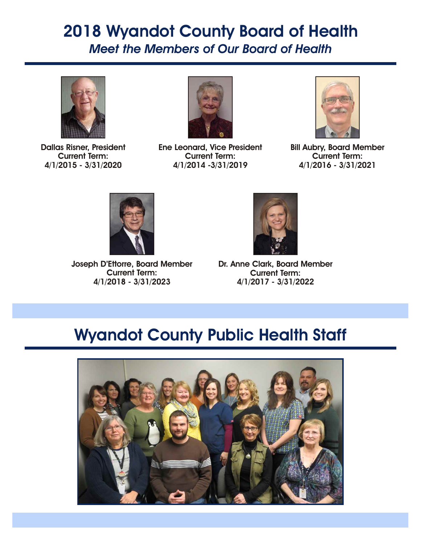### *Meet the Members of Our Board of Health* **2018 Wyandot County Board of Health**



**Dallas Risner, President Current Term: 4/1/2015 - 3/31/2020**



**Ene Leonard, Vice President Current Term: 4/1/2014 -3/31/2019**



**Bill Aubry, Board Member Current Term: 4/1/2016 - 3/31/2021**



**Joseph D'Ettorre, Board Member Current Term: 4/1/2018 - 3/31/2023**



**Dr. Anne Clark, Board Member Current Term: 4/1/2017 - 3/31/2022**

## **Wyandot County Public Health Staff**

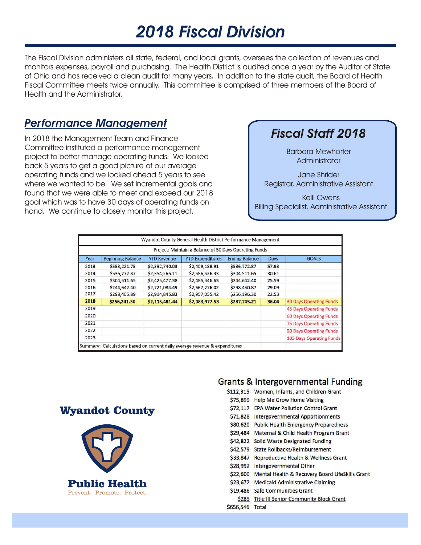# *2018 Fiscal Division*

The Fiscal Division administers all state, federal, and local grants, oversees the collection of revenues and monitors expenses, payroll and purchasing. The Health District is audited once a year by the Auditor of State of Ohio and has received a clean audit for many years. In addition to the state audit, the Board of Health Fiscal Committee meets twice annually. This committee is comprised of three members of the Board of Health and the Administrator.

#### *Performance Management*

In 2018 the Management Team and Finance Committee instituted a performance management project to better manage operating funds. We looked back 5 years to get a good picture of our average operating funds and we looked ahead 5 years to see where we wanted to be. We set incremental goals and found that we were able to meet and exceed our 2018 goal which was to have 30 days of operating funds on hand. We continue to closely monitor this project.

#### *Fiscal Staff 2018*

Barbara Mewhorter **Administrator** 

Jane Shrider Registrar, Administrative Assistant

Kelli Owens Billing Specialist, Administrative Assistant

| Project: Maintain a Balance of 30 Days Operating Funds |                          |                    |                         |                       |       |                                |
|--------------------------------------------------------|--------------------------|--------------------|-------------------------|-----------------------|-------|--------------------------------|
| Year                                                   | <b>Beginning Balance</b> | <b>YTD Revenue</b> | <b>YTD Expenditures</b> | <b>Ending Balance</b> | Days  | <b>GOALS</b>                   |
| 2013                                                   | \$553,221.75             | \$2,392,740.03     | \$2,409,188.91          | \$536,772.87          | 57.93 |                                |
| 2014                                                   | \$536,772.87             | \$2,354,265.11     | \$2,586,526.33          | \$304,511.65          | 30.61 |                                |
| 2015                                                   | \$304,511.65             | \$2,425,477.38     | \$2,485,346.63          | \$244,642.40          | 25.59 |                                |
| 2016                                                   | \$244,642.40             | \$2,721,084.49     | \$2,667,276.02          | \$298,450.87          | 29.09 |                                |
| 2017                                                   | \$298,405.89             | \$2,914,845.83     | \$2,957,055.42          | \$256,196.30          | 22.53 |                                |
| 2018                                                   | \$256,241.30             | \$2,115,481.44     | \$2,083,977.53          | \$287,745.21          | 36.04 | <b>30 Days Operating Funds</b> |
| 2019                                                   |                          |                    |                         |                       |       | 45 Days Operating Funds        |
| 2020                                                   |                          |                    |                         |                       |       | 60 Days Operating Funds        |
| 2021                                                   |                          |                    |                         |                       |       | 75 Days Operating Funds        |
| 2022                                                   |                          |                    |                         |                       |       | 90 Days Operating Funds        |
| 2023                                                   |                          |                    |                         |                       |       | 105 Days Operating Funds       |





#### Grants & Intergovernmental Funding

\$112.315 Women, Infants, and Children Grant

- \$75.899 Help Me Grow Home Visiting
- **\$72.117 EPA Water Pollution Control Grant**
- \$71,828 Intergovernmental Apportionments
- \$80,620 Public Health Emergency Preparedness
- \$29,484 Maternal & Child Health Program Grant
- \$42,822 Solid Waste Designated Funding
- \$42.579 State Rollbacks/Reimbursement
- \$33,847 Reproductive Health & Wellness Grant
- \$28,992 Intergovernmental Other
- \$22,600 Mental Health & Recovery Board LifeSkills Grant
- \$23.672 Medicald Administrative Claiming
- \$19.486 Safe Communities Grant
- \$285 Title III Senior Community Block Grant

\$656,546 Total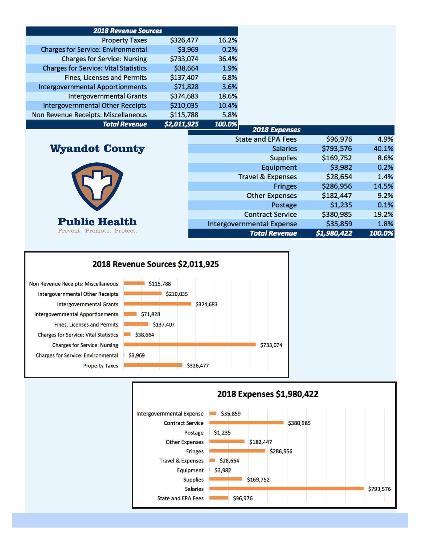| <b>2018 Revenue Sources</b>                  |             |        |
|----------------------------------------------|-------------|--------|
| <b>Property Taxes</b>                        | \$326,477   | 16.2%  |
| <b>Charges for Service: Environmental</b>    | \$3,969     | 0.2%   |
| <b>Charges for Service: Nursing</b>          | \$733,074   | 36.4%  |
| <b>Charges for Service: Vital Statistics</b> | \$38,664    | 1.9%   |
| <b>Fines, Licenses and Permits</b>           | \$137,407   | 6.8%   |
| <b>Intergovernmental Apportionments</b>      | \$71,828    | 3.6%   |
| <b>Intergovernmental Grants</b>              | \$374,683   | 18.6%  |
| <b>Intergovernmental Other Receipts</b>      | \$210,035   | 10.4%  |
| Non Revenue Receipts: Miscellaneous          | \$115,788   | 5.8%   |
| <b>Total Revenue</b>                         | \$2,011,925 | 100.0% |

#### Wyandot County



| <b><i>ZUID EXPENSES</i></b>      |             |        |
|----------------------------------|-------------|--------|
| <b>State and EPA Fees</b>        | \$96,976    | 4.9%   |
| <b>Salaries</b>                  | \$793,576   | 40.1%  |
| <b>Supplies</b>                  | \$169,752   | 8.6%   |
| Equipment                        | \$3,982     | 0.2%   |
| <b>Travel &amp; Expenses</b>     | \$28,654    | 1.4%   |
| <b>Fringes</b>                   | \$286,956   | 14.5%  |
| <b>Other Expenses</b>            | \$182,447   | 9.2%   |
| Postage                          | \$1,235     | 0.1%   |
| <b>Contract Service</b>          | \$380,985   | 19.2%  |
| <b>Intergovernmental Expense</b> | \$35,859    | 1.8%   |
| <b>Total Revenue</b>             | \$1,980,422 | 100.0% |
|                                  |             |        |



#### 2018 Expenses \$1,980,422

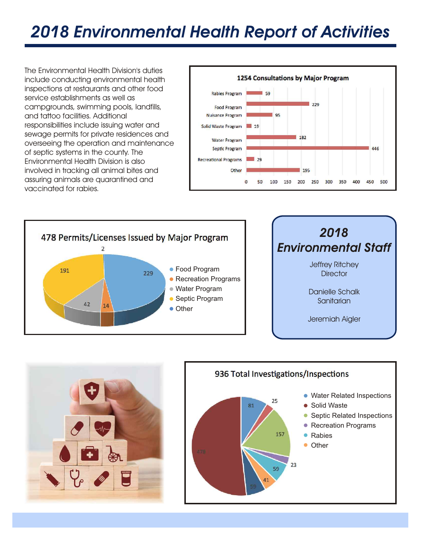# *2018 Environmental Health Report of Activities*

The Environmental Health Division's duties include conducting environmental health inspections at restaurants and other food service establishments as well as campgrounds, swimming pools, landfills, and tattoo facilities. Additional responsibilities include issuing water and sewage permits for private residences and overseeing the operation and maintenance of septic systems in the county. The Environmental Health Division is also involved in tracking all animal bites and assuring animals are quarantined and vaccinated for rabies.







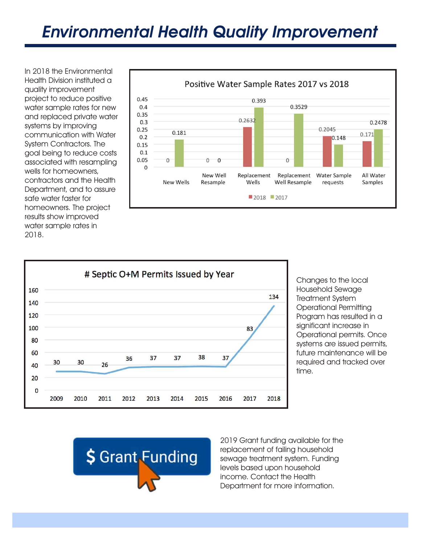In 2018 the Environmental Health Division instituted a quality improvement project to reduce positive water sample rates for new and replaced private water systems by improving communication with Water System Contractors. The goal being to reduce costs associated with resampling wells for homeowners, contractors and the Health Department, and to assure safe water faster for homeowners. The project results show improved water sample rates in 2018.





Changes to the local Household Sewage Treatment System Operational Permitting Program has resulted in a significant increase in Operational permits. Once systems are issued permits, future maintenance will be required and tracked over time.



2019 Grant funding available for the replacement of failing household sewage treatment system. Funding levels based upon household income. Contact the Health Department for more information.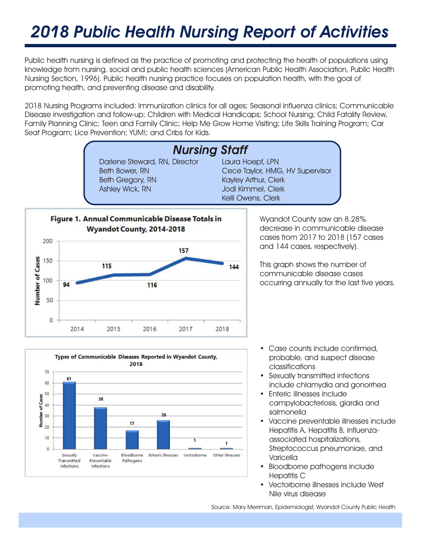# *2018 Public Health Nursing Report of Activities*

Public health nursing is defined as the practice of promoting and protecting the health of populations using knowledge from nursing, social and public health sciences (American Public Health Association, Public Health Nursing Section, 1996). Public health nursing practice focuses on population health, with the goal of promoting health, and preventing disease and disability.

2018 Nursing Programs included: Immunization clinics for all ages; Seasonal influenza clinics; Communicable Disease investigation and follow-up; Children with Medical Handicaps; School Nursing; Child Fatality Review, Family Planning Clinic; Teen and Family Clinic; Help Me Grow Home Visiting; Life Skills Training Program; Car Seat Program; Lice Prevention; YUM!; and Cribs for Kids.





- Case counts include confirmed, probable, and suspect disease classifications
- Sexually transmitted infections include chlamydia and gonorrhea
- Enteric illnesses include campylobacteriosis, giardia and salmonella
- Vaccine preventable illnesses include Hepatitis A, Hepatitis B, influenzaassociated hospitalizations, Streptococcus pneumoniae, and Varicella
- Bloodborne pathogens include Hepatitis C
- Vectorborne illnesses include West Nile virus disease

Source: Mary Merriman, Epidemiologist, Wyandot County Public Health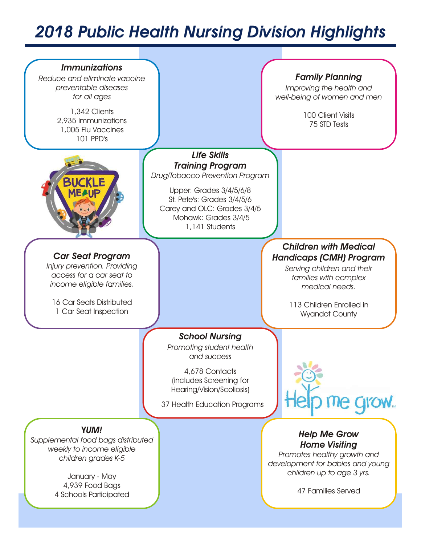# *2018 Public Health Nursing Division Highlights*

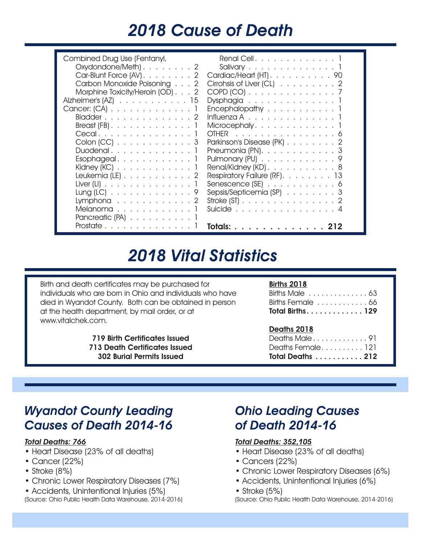## *2018 Cause of Death*

# *2018 Vital Statistics*

Birth and death certificates may be purchased for individuals who are born in Ohio and individuals who have died in Wyandot County. Both can be obtained in person at the health department, by mail order, or at www.vitalchek.com.

> **719 Birth Certificates Issued 713 Death Certificates Issued 302 Burial Permits Issued**

#### **Births 2018**

| Births Male 63          |  |
|-------------------------|--|
| Births Female  66       |  |
| <b>Total Births 129</b> |  |

#### **Deaths 2018**

| Total Deaths 212 |  |  |  |
|------------------|--|--|--|
| Deaths Female121 |  |  |  |
| Deaths Male 91   |  |  |  |

### *Wyandot County Leading Causes of Death 2014-16*

#### *Total Deaths: 766*

- Heart Disease (23% of all deaths)
- Cancer (22%)
- Stroke (8%)
- Chronic Lower Respiratory Diseases (7%)
- Accidents, Unintentional Injuries (5%) (Source: Ohio Public Health Data Warehouse, 2014-2016)

#### *Ohio Leading Causes of Death 2014-16*

#### *Total Deaths: 352,105*

- Heart Disease (23% of all deaths)
- Cancers (22%)
- Chronic Lower Respiratory Diseases (6%)
- Accidents, Unintentional Injuries (6%)
- Stroke (5%)

(Source: Ohio Public Health Data Warehouse, 2014-2016)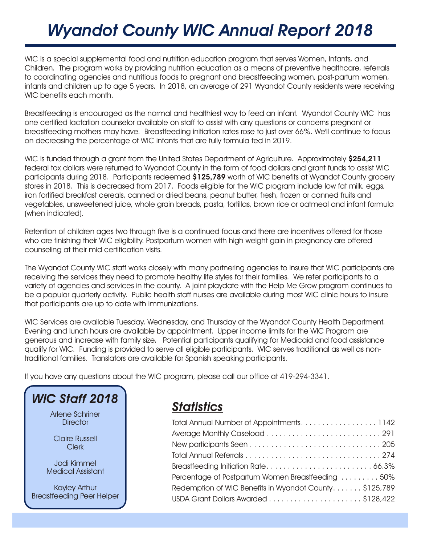# *Wyandot County WIC Annual Report 2018*

WIC is a special supplemental food and nutrition education program that serves Women, Infants, and Children. The program works by providing nutrition education as a means of preventive healthcare, referrals to coordinating agencies and nutritious foods to pregnant and breastfeeding women, post-partum women, infants and children up to age 5 years. In 2018, an average of 291 Wyandot County residents were receiving WIC benefits each month.

Breastfeeding is encouraged as the normal and healthiest way to feed an infant. Wyandot County WIC has one certified lactation counselor available on staff to assist with any questions or concerns pregnant or breastfeeding mothers may have. Breastfeeding initiation rates rose to just over 66%. We'll continue to focus on decreasing the percentage of WIC infants that are fully formula fed in 2019.

WIC is funded through a grant from the United States Department of Agriculture. Approximately **\$254,211**  federal tax dollars were returned to Wyandot County in the form of food dollars and grant funds to assist WIC participants during 2018. Participants redeemed **\$125,789** worth of WIC benefits at Wyandot County grocery stores in 2018. This is decreased from 2017. Foods eligible for the WIC program include low fat milk, eggs, iron fortified breakfast cereals, canned or dried beans, peanut butter, fresh, frozen or canned fruits and vegetables, unsweetened juice, whole grain breads, pasta, tortillas, brown rice or oatmeal and infant formula (when indicated).

Retention of children ages two through five is a continued focus and there are incentives offered for those who are finishing their WIC eligibility. Postpartum women with high weight gain in pregnancy are offered counseling at their mid certification visits.

The Wyandot County WIC staff works closely with many partnering agencies to insure that WIC participants are receiving the services they need to promote healthy life styles for their families. We refer participants to a variety of agencies and services in the county. A joint playdate with the Help Me Grow program continues to be a popular quarterly activity. Public health staff nurses are available during most WIC clinic hours to insure that participants are up to date with immunizations.

WIC Services are available Tuesday, Wednesday, and Thursday at the Wyandot County Health Department. Evening and lunch hours are available by appointment. Upper income limits for the WIC Program are generous and increase with family size. Potential participants qualifying for Medicaid and food assistance qualify for WIC. Funding is provided to serve all eligible participants. WIC serves traditional as well as nontraditional families. Translators are available for Spanish speaking participants.

If you have any questions about the WIC program, please call our office at 419-294-3341.



| Total Annual Number of Appointments. 1142             |  |
|-------------------------------------------------------|--|
|                                                       |  |
|                                                       |  |
|                                                       |  |
|                                                       |  |
| Percentage of Postpartum Women Breastfeeding 50%      |  |
| Redemption of WIC Benefits in Wyandot County\$125,789 |  |
|                                                       |  |